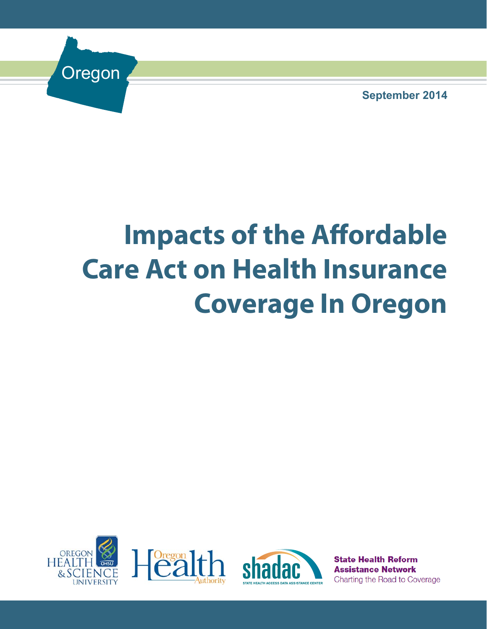Oregon

**September 2014**

# **Impacts of the Affordable Care Act on Health Insurance Coverage In Oregon**







**State Health Reform Assistance Network** Charting the Road to Coverage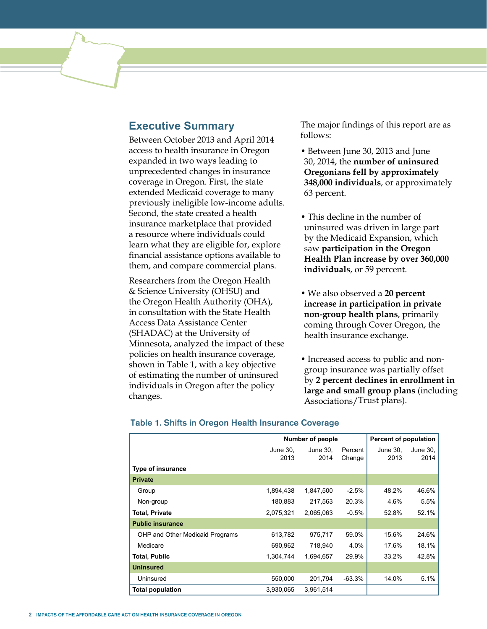# **Executive Summary**

Between October 2013 and April 2014 access to health insurance in Oregon expanded in two ways leading to unprecedented changes in insurance coverage in Oregon. First, the state extended Medicaid coverage to many previously ineligible low-income adults. Second, the state created a health insurance marketplace that provided a resource where individuals could learn what they are eligible for, explore financial assistance options available to them, and compare commercial plans.

Researchers from the Oregon Health & Science University (OHSU) and the Oregon Health Authority (OHA), in consultation with the State Health Access Data Assistance Center (SHADAC) at the University of Minnesota, analyzed the impact of these policies on health insurance coverage, shown in Table 1, with a key objective of estimating the number of uninsured individuals in Oregon after the policy changes.

The major findings of this report are as follows:

- Between June 30, 2013 and June 30, 2014, the **number of uninsured Oregonians fell by approximately 348,000 individuals**, or approximately 63 percent.
- This decline in the number of uninsured was driven in large part by the Medicaid Expansion, which saw **participation in the Oregon Health Plan increase by over 360,000 individuals**, or 59 percent.
- We also observed a **20 percent increase in participation in private non-group health plans**, primarily coming through Cover Oregon, the health insurance exchange.
- Increased access to public and nongroup insurance was partially offset by **2 percent declines in enrollment in large and small group plans** (including Associations/Trust plans).

|                                 |           | <b>Number of people</b> | Percent of population |          |          |
|---------------------------------|-----------|-------------------------|-----------------------|----------|----------|
|                                 | June 30.  | June 30.                | Percent               | June 30. | June 30, |
|                                 | 2013      | 2014                    | Change                | 2013     | 2014     |
| <b>Type of insurance</b>        |           |                         |                       |          |          |
| <b>Private</b>                  |           |                         |                       |          |          |
| Group                           | 1,894,438 | 1,847,500               | $-2.5%$               | 48.2%    | 46.6%    |
| Non-group                       | 180,883   | 217,563                 | 20.3%                 | 4.6%     | 5.5%     |
| <b>Total, Private</b>           | 2,075,321 | 2,065,063               | $-0.5%$               | 52.8%    | 52.1%    |
| <b>Public insurance</b>         |           |                         |                       |          |          |
| OHP and Other Medicaid Programs | 613,782   | 975,717                 | 59.0%                 | 15.6%    | 24.6%    |
| Medicare                        | 690,962   | 718,940                 | 4.0%                  | 17.6%    | 18.1%    |
| <b>Total, Public</b>            | 1,304,744 | 1,694,657               | 29.9%                 | 33.2%    | 42.8%    |
| <b>Uninsured</b>                |           |                         |                       |          |          |
| Uninsured                       | 550,000   | 201,794                 | $-63.3%$              | 14.0%    | 5.1%     |
| <b>Total population</b>         | 3,930,065 | 3.961,514               |                       |          |          |

#### Table 1. Shifts in Oregon Health Insurance Coverage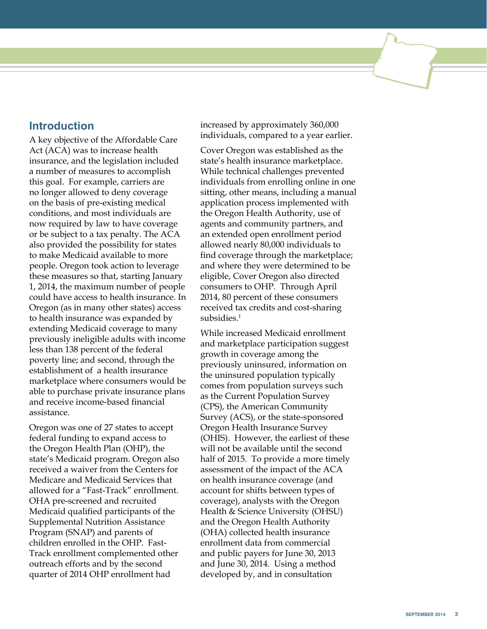# **Introduction**

A key objective of the Affordable Care Act (ACA) was to increase health insurance, and the legislation included a number of measures to accomplish this goal. For example, carriers are no longer allowed to deny coverage on the basis of pre-existing medical conditions, and most individuals are now required by law to have coverage or be subject to a tax penalty. The ACA also provided the possibility for states to make Medicaid available to more people. Oregon took action to leverage these measures so that, starting January 1, 2014, the maximum number of people could have access to health insurance. In Oregon (as in many other states) access to health insurance was expanded by extending Medicaid coverage to many previously ineligible adults with income less than 138 percent of the federal poverty line; and second, through the establishment of a health insurance marketplace where consumers would be able to purchase private insurance plans and receive income-based financial assistance.

Oregon was one of 27 states to accept federal funding to expand access to the Oregon Health Plan (OHP), the state's Medicaid program. Oregon also received a waiver from the Centers for Medicare and Medicaid Services that allowed for a "Fast-Track" enrollment. OHA pre-screened and recruited Medicaid qualified participants of the Supplemental Nutrition Assistance Program (SNAP) and parents of children enrolled in the OHP. Fast-Track enrollment complemented other outreach efforts and by the second quarter of 2014 OHP enrollment had

increased by approximately 360,000 individuals, compared to a year earlier.

Cover Oregon was established as the state's health insurance marketplace. While technical challenges prevented individuals from enrolling online in one sitting, other means, including a manual application process implemented with the Oregon Health Authority, use of agents and community partners, and an extended open enrollment period allowed nearly 80,000 individuals to find coverage through the marketplace; and where they were determined to be eligible, Cover Oregon also directed consumers to OHP. Through April 2014, 80 percent of these consumers received tax credits and cost-sharing subsidies.<sup>1</sup>

While increased Medicaid enrollment and marketplace participation suggest growth in coverage among the previously uninsured, information on the uninsured population typically comes from population surveys such as the Current Population Survey (CPS), the American Community Survey (ACS), or the state-sponsored Oregon Health Insurance Survey (OHIS). However, the earliest of these will not be available until the second half of 2015. To provide a more timely assessment of the impact of the ACA on health insurance coverage (and account for shifts between types of coverage), analysts with the Oregon Health & Science University (OHSU) and the Oregon Health Authority (OHA) collected health insurance enrollment data from commercial and public payers for June 30, 2013 and June 30, 2014. Using a method developed by, and in consultation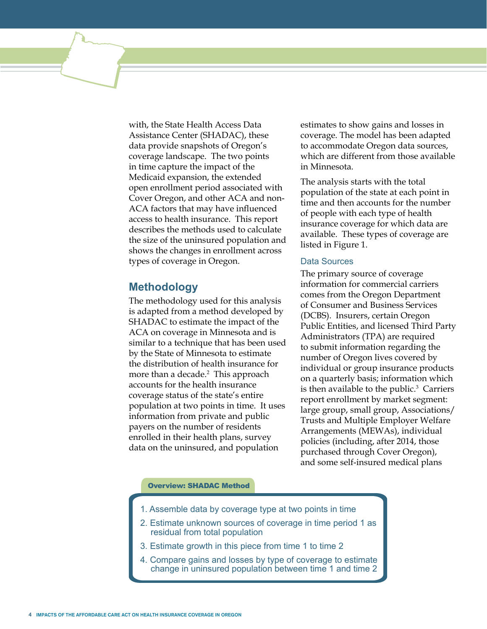with, the State Health Access Data Assistance Center (SHADAC), these data provide snapshots of Oregon's coverage landscape. The two points in time capture the impact of the Medicaid expansion, the extended open enrollment period associated with Cover Oregon, and other ACA and non-ACA factors that may have influenced access to health insurance. This report describes the methods used to calculate the size of the uninsured population and shows the changes in enrollment across types of coverage in Oregon.

## **Methodology**

The methodology used for this analysis is adapted from a method developed by SHADAC to estimate the impact of the ACA on coverage in Minnesota and is similar to a technique that has been used by the State of Minnesota to estimate the distribution of health insurance for more than a decade.<sup>2</sup> This approach accounts for the health insurance coverage status of the state's entire population at two points in time. It uses information from private and public payers on the number of residents enrolled in their health plans, survey data on the uninsured, and population

estimates to show gains and losses in coverage. The model has been adapted to accommodate Oregon data sources, which are different from those available in Minnesota.

The analysis starts with the total population of the state at each point in time and then accounts for the number of people with each type of health insurance coverage for which data are available. These types of coverage are listed in Figure 1.

#### Data Sources

The primary source of coverage information for commercial carriers comes from the Oregon Department of Consumer and Business Services (DCBS). Insurers, certain Oregon Public Entities, and licensed Third Party Administrators (TPA) are required to submit information regarding the number of Oregon lives covered by individual or group insurance products on a quarterly basis; information which is then available to the public.<sup>3</sup> Carriers report enrollment by market segment: large group, small group, Associations/ Trusts and Multiple Employer Welfare Arrangements (MEWAs), individual policies (including, after 2014, those purchased through Cover Oregon), and some self-insured medical plans

#### Overview: SHADAC Method

- 1. Assemble data by coverage type at two points in time
- 2. Estimate unknown sources of coverage in time period 1 as residual from total population
- 3. Estimate growth in this piece from time 1 to time 2
- 4. Compare gains and losses by type of coverage to estimate change in uninsured population between time 1 and time 2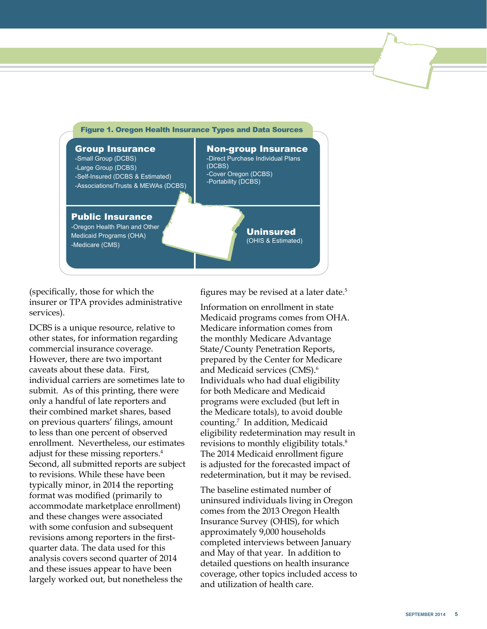

(specifically, those for which the insurer or TPA provides administrative services).

DCBS is a unique resource, relative to other states, for information regarding commercial insurance coverage. However, there are two important caveats about these data. First, individual carriers are sometimes late to submit. As of this printing, there were only a handful of late reporters and their combined market shares, based on previous quarters' filings, amount to less than one percent of observed enrollment. Nevertheless, our estimates adjust for these missing reporters.<sup>4</sup> Second, all submitted reports are subject to revisions. While these have been typically minor, in 2014 the reporting format was modified (primarily to accommodate marketplace enrollment) and these changes were associated with some confusion and subsequent revisions among reporters in the firstquarter data. The data used for this analysis covers second quarter of 2014 and these issues appear to have been largely worked out, but nonetheless the

figures may be revised at a later date.<sup>5</sup>

Information on enrollment in state Medicaid programs comes from OHA. Medicare information comes from the monthly Medicare Advantage State/County Penetration Reports, prepared by the Center for Medicare and Medicaid services (CMS).<sup>6</sup> Individuals who had dual eligibility for both Medicare and Medicaid programs were excluded (but left in the Medicare totals), to avoid double counting.7 In addition, Medicaid eligibility redetermination may result in revisions to monthly eligibility totals.<sup>8</sup> The 2014 Medicaid enrollment figure is adjusted for the forecasted impact of redetermination, but it may be revised.

The baseline estimated number of uninsured individuals living in Oregon comes from the 2013 Oregon Health Insurance Survey (OHIS), for which approximately 9,000 households completed interviews between January and May of that year. In addition to detailed questions on health insurance coverage, other topics included access to and utilization of health care.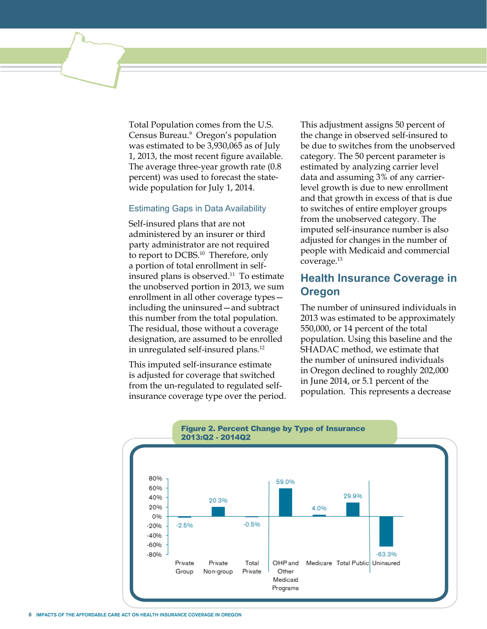Total Population comes from the U.S. Census Bureau.<sup>9</sup> Oregon's population was estimated to be 3,930,065 as of July 1, 2013, the most recent figure available. The average three-year growth rate (0.8 percent) was used to forecast the statewide population for July 1, 2014.

#### Estimating Gaps in Data Availability

Self-insured plans that are not administered by an insurer or third party administrator are not required to report to DCBS.<sup>10</sup> Therefore, only a portion of total enrollment in selfinsured plans is observed.11 To estimate the unobserved portion in 2013, we sum enrollment in all other coverage types including the uninsured—and subtract this number from the total population. The residual, those without a coverage designation, are assumed to be enrolled in unregulated self-insured plans.12

This imputed self-insurance estimate is adjusted for coverage that switched from the un-regulated to regulated selfinsurance coverage type over the period.

This adjustment assigns 50 percent of the change in observed self-insured to be due to switches from the unobserved category. The 50 percent parameter is estimated by analyzing carrier level data and assuming 3% of any carrierlevel growth is due to new enrollment and that growth in excess of that is due to switches of entire employer groups from the unobserved category. The imputed self-insurance number is also adjusted for changes in the number of people with Medicaid and commercial coverage.13

# **Health Insurance Coverage in Oregon**

The number of uninsured individuals in 2013 was estimated to be approximately 550,000, or 14 percent of the total population. Using this baseline and the SHADAC method, we estimate that the number of uninsured individuals in Oregon declined to roughly 202,000 in June 2014, or 5.1 percent of the population. This represents a decrease

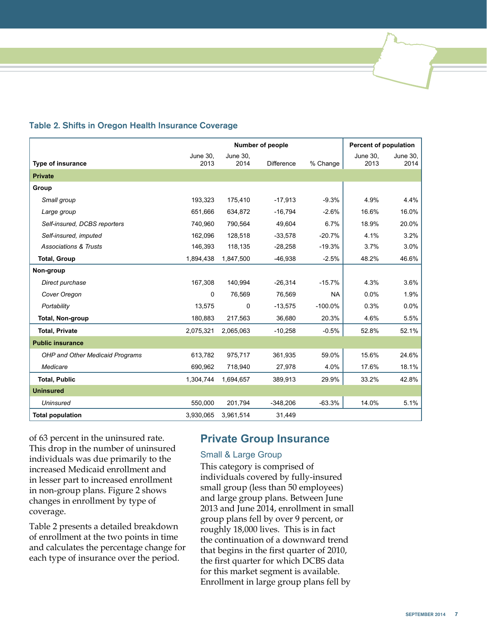|                                        |             | <b>Number of people</b> |                   |           |          | <b>Percent of population</b> |  |
|----------------------------------------|-------------|-------------------------|-------------------|-----------|----------|------------------------------|--|
|                                        | June 30,    | June 30,                |                   |           | June 30. | June 30,                     |  |
| <b>Type of insurance</b>               | 2013        | 2014                    | <b>Difference</b> | % Change  | 2013     | 2014                         |  |
| <b>Private</b>                         |             |                         |                   |           |          |                              |  |
| Group                                  |             |                         |                   |           |          |                              |  |
| Small group                            | 193,323     | 175,410                 | $-17,913$         | $-9.3%$   | 4.9%     | 4.4%                         |  |
| Large group                            | 651,666     | 634,872                 | $-16,794$         | $-2.6%$   | 16.6%    | 16.0%                        |  |
| Self-insured, DCBS reporters           | 740,960     | 790,564                 | 49,604            | 6.7%      | 18.9%    | 20.0%                        |  |
| Self-insured, imputed                  | 162.096     | 128.518                 | $-33,578$         | $-20.7%$  | 4.1%     | 3.2%                         |  |
| <b>Associations &amp; Trusts</b>       | 146,393     | 118,135                 | $-28,258$         | $-19.3%$  | 3.7%     | 3.0%                         |  |
| <b>Total, Group</b>                    | 1,894,438   | 1,847,500               | $-46,938$         | $-2.5%$   | 48.2%    | 46.6%                        |  |
| Non-group                              |             |                         |                   |           |          |                              |  |
| Direct purchase                        | 167,308     | 140,994                 | $-26,314$         | $-15.7%$  | 4.3%     | 3.6%                         |  |
| Cover Oregon                           | $\mathbf 0$ | 76,569                  | 76,569            | <b>NA</b> | 0.0%     | 1.9%                         |  |
| Portability                            | 13,575      | $\Omega$                | $-13,575$         | $-100.0%$ | 0.3%     | $0.0\%$                      |  |
| Total, Non-group                       | 180,883     | 217,563                 | 36,680            | 20.3%     | 4.6%     | 5.5%                         |  |
| <b>Total, Private</b>                  | 2,075,321   | 2,065,063               | $-10,258$         | $-0.5%$   | 52.8%    | 52.1%                        |  |
| <b>Public insurance</b>                |             |                         |                   |           |          |                              |  |
| <b>OHP and Other Medicaid Programs</b> | 613,782     | 975,717                 | 361,935           | 59.0%     | 15.6%    | 24.6%                        |  |
| Medicare                               | 690,962     | 718,940                 | 27,978            | 4.0%      | 17.6%    | 18.1%                        |  |
| <b>Total, Public</b>                   | 1,304,744   | 1,694,657               | 389,913           | 29.9%     | 33.2%    | 42.8%                        |  |
| <b>Uninsured</b>                       |             |                         |                   |           |          |                              |  |
| <b>Uninsured</b>                       | 550,000     | 201,794                 | $-348,206$        | $-63.3%$  | 14.0%    | 5.1%                         |  |
| <b>Total population</b>                | 3,930,065   | 3,961,514               | 31,449            |           |          |                              |  |

#### Table 2. Shifts in Oregon Health Insurance Coverage

of 63 percent in the uninsured rate. This drop in the number of uninsured individuals was due primarily to the increased Medicaid enrollment and in lesser part to increased enrollment in non-group plans. Figure 2 shows changes in enrollment by type of coverage.

Table 2 presents a detailed breakdown of enrollment at the two points in time and calculates the percentage change for each type of insurance over the period.

# **Private Group Insurance**

#### Small & Large Group

This category is comprised of individuals covered by fully-insured small group (less than 50 employees) and large group plans. Between June 2013 and June 2014, enrollment in small group plans fell by over 9 percent, or roughly 18,000 lives. This is in fact the continuation of a downward trend that begins in the first quarter of 2010, the first quarter for which DCBS data for this market segment is available. Enrollment in large group plans fell by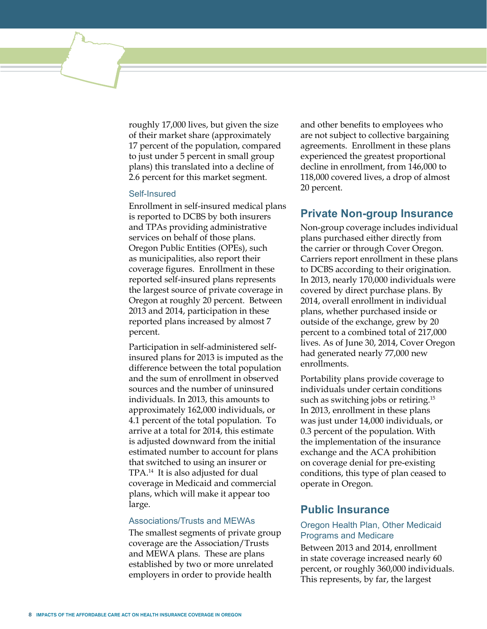roughly 17,000 lives, but given the size of their market share (approximately 17 percent of the population, compared to just under 5 percent in small group plans) this translated into a decline of 2.6 percent for this market segment.

#### Self-Insured

Enrollment in self-insured medical plans is reported to DCBS by both insurers and TPAs providing administrative services on behalf of those plans. Oregon Public Entities (OPEs), such as municipalities, also report their coverage figures. Enrollment in these reported self-insured plans represents the largest source of private coverage in Oregon at roughly 20 percent. Between 2013 and 2014, participation in these reported plans increased by almost 7 percent.

Participation in self-administered selfinsured plans for 2013 is imputed as the difference between the total population and the sum of enrollment in observed sources and the number of uninsured individuals. In 2013, this amounts to approximately 162,000 individuals, or 4.1 percent of the total population. To arrive at a total for 2014, this estimate is adjusted downward from the initial estimated number to account for plans that switched to using an insurer or TPA.14 It is also adjusted for dual coverage in Medicaid and commercial plans, which will make it appear too large.

#### Associations/Trusts and MEWAs

The smallest segments of private group coverage are the Association/Trusts and MEWA plans. These are plans established by two or more unrelated employers in order to provide health

and other benefits to employees who are not subject to collective bargaining agreements. Enrollment in these plans experienced the greatest proportional decline in enrollment, from 146,000 to 118,000 covered lives, a drop of almost 20 percent.

## **Private Non-group Insurance**

Non-group coverage includes individual plans purchased either directly from the carrier or through Cover Oregon. Carriers report enrollment in these plans to DCBS according to their origination. In 2013, nearly 170,000 individuals were covered by direct purchase plans. By 2014, overall enrollment in individual plans, whether purchased inside or outside of the exchange, grew by 20 percent to a combined total of 217,000 lives. As of June 30, 2014, Cover Oregon had generated nearly 77,000 new enrollments.

Portability plans provide coverage to individuals under certain conditions such as switching jobs or retiring.<sup>15</sup> In 2013, enrollment in these plans was just under 14,000 individuals, or 0.3 percent of the population. With the implementation of the insurance exchange and the ACA prohibition on coverage denial for pre-existing conditions, this type of plan ceased to operate in Oregon.

#### **Public Insurance**

#### Oregon Health Plan, Other Medicaid Programs and Medicare

Between 2013 and 2014, enrollment in state coverage increased nearly 60 percent, or roughly 360,000 individuals. This represents, by far, the largest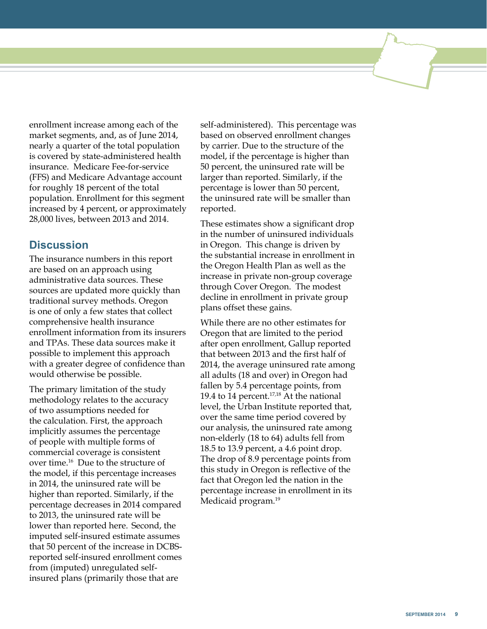enrollment increase among each of the market segments, and, as of June 2014, nearly a quarter of the total population is covered by state-administered health insurance. Medicare Fee-for-service (FFS) and Medicare Advantage account for roughly 18 percent of the total population. Enrollment for this segment increased by 4 percent, or approximately 28,000 lives, between 2013 and 2014.

## **Discussion**

The insurance numbers in this report are based on an approach using administrative data sources. These sources are updated more quickly than traditional survey methods. Oregon is one of only a few states that collect comprehensive health insurance enrollment information from its insurers and TPAs. These data sources make it possible to implement this approach with a greater degree of confidence than would otherwise be possible.

The primary limitation of the study methodology relates to the accuracy of two assumptions needed for the calculation. First, the approach implicitly assumes the percentage of people with multiple forms of commercial coverage is consistent over time.16 Due to the structure of the model, if this percentage increases in 2014, the uninsured rate will be higher than reported. Similarly, if the percentage decreases in 2014 compared to 2013, the uninsured rate will be lower than reported here. Second, the imputed self-insured estimate assumes that 50 percent of the increase in DCBSreported self-insured enrollment comes from (imputed) unregulated selfinsured plans (primarily those that are

self-administered). This percentage was based on observed enrollment changes by carrier. Due to the structure of the model, if the percentage is higher than 50 percent, the uninsured rate will be larger than reported. Similarly, if the percentage is lower than 50 percent, the uninsured rate will be smaller than reported.

These estimates show a significant drop in the number of uninsured individuals in Oregon. This change is driven by the substantial increase in enrollment in the Oregon Health Plan as well as the increase in private non-group coverage through Cover Oregon. The modest decline in enrollment in private group plans offset these gains.

While there are no other estimates for Oregon that are limited to the period after open enrollment, Gallup reported that between 2013 and the first half of 2014, the average uninsured rate among all adults (18 and over) in Oregon had fallen by 5.4 percentage points, from 19.4 to 14 percent.17,18 At the national level, the Urban Institute reported that, over the same time period covered by our analysis, the uninsured rate among non-elderly (18 to 64) adults fell from 18.5 to 13.9 percent, a 4.6 point drop. The drop of 8.9 percentage points from this study in Oregon is reflective of the fact that Oregon led the nation in the percentage increase in enrollment in its Medicaid program.<sup>19</sup>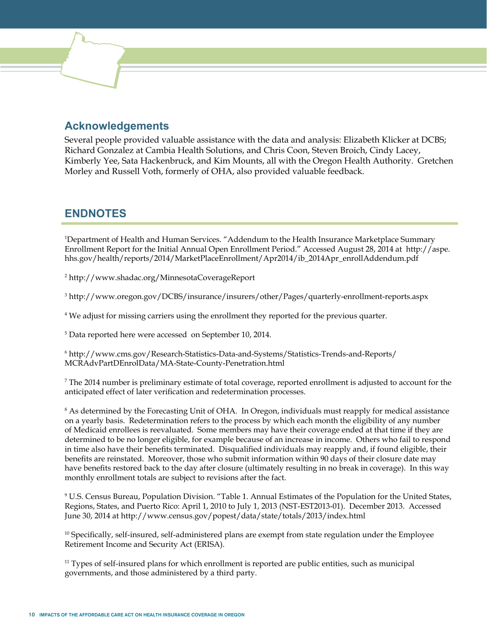# **Acknowledgements**

Several people provided valuable assistance with the data and analysis: Elizabeth Klicker at DCBS; Richard Gonzalez at Cambia Health Solutions, and Chris Coon, Steven Broich, Cindy Lacey, Kimberly Yee, Sata Hackenbruck, and Kim Mounts, all with the Oregon Health Authority. Gretchen Morley and Russell Voth, formerly of OHA, also provided valuable feedback.

# **ENDNOTES**

1 Department of Health and Human Services. "Addendum to the Health Insurance Marketplace Summary Enrollment Report for the Initial Annual Open Enrollment Period." Accessed August 28, 2014 at http://aspe. hhs.gov/health/reports/2014/MarketPlaceEnrollment/Apr2014/ib\_2014Apr\_enrollAddendum.pdf

2 http://www.shadac.org/MinnesotaCoverageReport

3 http://www.oregon.gov/DCBS/insurance/insurers/other/Pages/quarterly-enrollment-reports.aspx

4 We adjust for missing carriers using the enrollment they reported for the previous quarter.

5 Data reported here were accessed on September 10, 2014.

6 http://www.cms.gov/Research-Statistics-Data-and-Systems/Statistics-Trends-and-Reports/ MCRAdvPartDEnrolData/MA-State-County-Penetration.html

7 The 2014 number is preliminary estimate of total coverage, reported enrollment is adjusted to account for the anticipated effect of later verification and redetermination processes.

<sup>8</sup> As determined by the Forecasting Unit of OHA. In Oregon, individuals must reapply for medical assistance on a yearly basis. Redetermination refers to the process by which each month the eligibility of any number of Medicaid enrollees is reevaluated. Some members may have their coverage ended at that time if they are determined to be no longer eligible, for example because of an increase in income. Others who fail to respond in time also have their benefits terminated. Disqualified individuals may reapply and, if found eligible, their benefits are reinstated. Moreover, those who submit information within 90 days of their closure date may have benefits restored back to the day after closure (ultimately resulting in no break in coverage). In this way monthly enrollment totals are subject to revisions after the fact.

9 U.S. Census Bureau, Population Division. "Table 1. Annual Estimates of the Population for the United States, Regions, States, and Puerto Rico: April 1, 2010 to July 1, 2013 (NST-EST2013-01). December 2013. Accessed June 30, 2014 at http://www.census.gov/popest/data/state/totals/2013/index.html

 $10$  Specifically, self-insured, self-administered plans are exempt from state regulation under the Employee Retirement Income and Security Act (ERISA).

 $11$  Types of self-insured plans for which enrollment is reported are public entities, such as municipal governments, and those administered by a third party.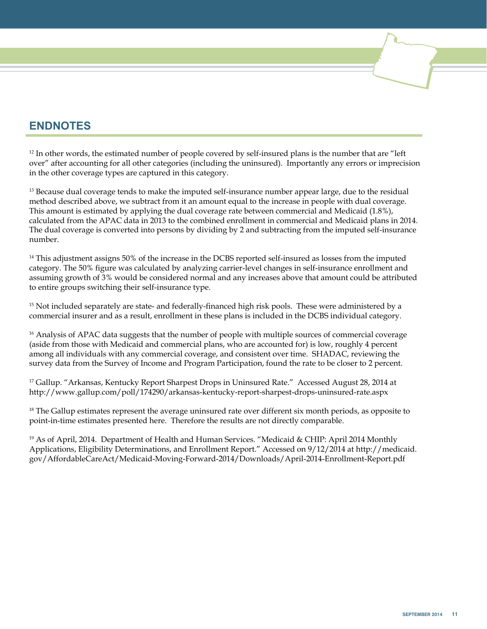# **ENDNOTES**

 $12$  In other words, the estimated number of people covered by self-insured plans is the number that are "left" over" after accounting for all other categories (including the uninsured). Importantly any errors or imprecision in the other coverage types are captured in this category.

<sup>13</sup> Because dual coverage tends to make the imputed self-insurance number appear large, due to the residual method described above, we subtract from it an amount equal to the increase in people with dual coverage. This amount is estimated by applying the dual coverage rate between commercial and Medicaid (1.8%), calculated from the APAC data in 2013 to the combined enrollment in commercial and Medicaid plans in 2014. The dual coverage is converted into persons by dividing by 2 and subtracting from the imputed self-insurance number.

<sup>14</sup> This adjustment assigns 50% of the increase in the DCBS reported self-insured as losses from the imputed category. The 50% figure was calculated by analyzing carrier-level changes in self-insurance enrollment and assuming growth of 3% would be considered normal and any increases above that amount could be attributed to entire groups switching their self-insurance type.

<sup>15</sup> Not included separately are state- and federally-financed high risk pools. These were administered by a commercial insurer and as a result, enrollment in these plans is included in the DCBS individual category.

<sup>16</sup> Analysis of APAC data suggests that the number of people with multiple sources of commercial coverage (aside from those with Medicaid and commercial plans, who are accounted for) is low, roughly 4 percent among all individuals with any commercial coverage, and consistent over time. SHADAC, reviewing the survey data from the Survey of Income and Program Participation, found the rate to be closer to 2 percent.

<sup>17</sup> Gallup. "Arkansas, Kentucky Report Sharpest Drops in Uninsured Rate." Accessed August 28, 2014 at http://www.gallup.com/poll/174290/arkansas-kentucky-report-sharpest-drops-uninsured-rate.aspx

 $18$  The Gallup estimates represent the average uninsured rate over different six month periods, as opposite to point-in-time estimates presented here. Therefore the results are not directly comparable.

<sup>19</sup> As of April, 2014. Department of Health and Human Services. "Medicaid & CHIP: April 2014 Monthly Applications, Eligibility Determinations, and Enrollment Report." Accessed on 9/12/2014 at http://medicaid. gov/AffordableCareAct/Medicaid-Moving-Forward-2014/Downloads/April-2014-Enrollment-Report.pdf